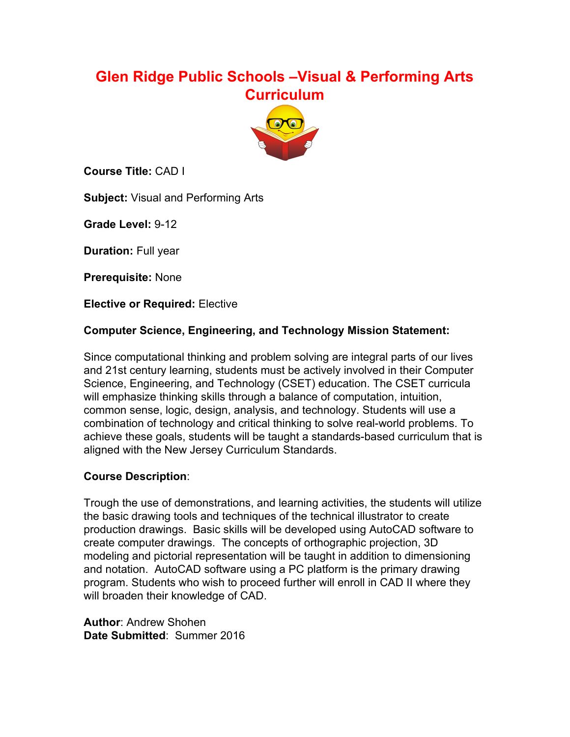# **Glen Ridge Public Schools –Visual & Performing Arts Curriculum**



**Course Title:** CAD I

**Subject:** Visual and Performing Arts

**Grade Level: 9-12** 

**Duration:** Full year

**Prerequisite:** None

**Elective or Required:** Elective

### **Computer Science, Engineering, and Technology Mission Statement:**

Since computational thinking and problem solving are integral parts of our lives and 21st century learning, students must be actively involved in their Computer Science, Engineering, and Technology (CSET) education. The CSET curricula will emphasize thinking skills through a balance of computation, intuition, common sense, logic, design, analysis, and technology. Students will use a combination of technology and critical thinking to solve real-world problems. To achieve these goals, students will be taught a standards-based curriculum that is aligned with the New Jersey Curriculum Standards.

### **Course Description**:

Trough the use of demonstrations, and learning activities, the students will utilize the basic drawing tools and techniques of the technical illustrator to create production drawings. Basic skills will be developed using AutoCAD software to create computer drawings. The concepts of orthographic projection, 3D modeling and pictorial representation will be taught in addition to dimensioning and notation. AutoCAD software using a PC platform is the primary drawing program. Students who wish to proceed further will enroll in CAD II where they will broaden their knowledge of CAD.

**Author**: Andrew Shohen **Date Submitted**: Summer 2016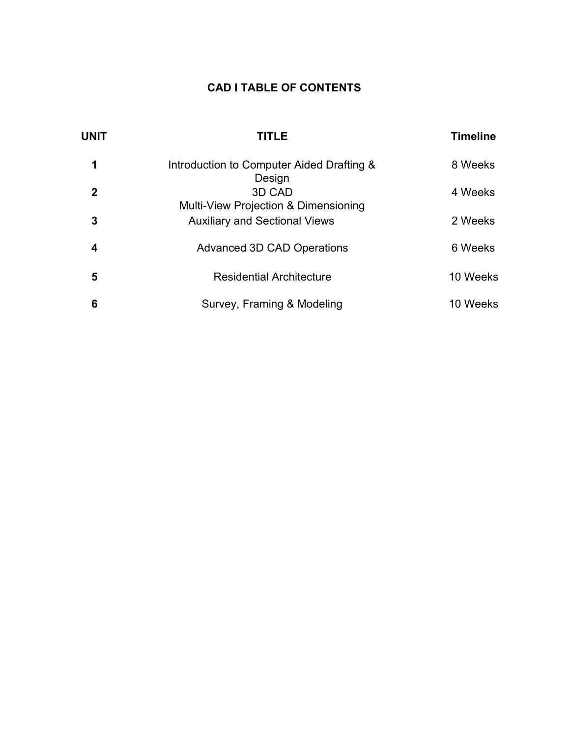## **CAD I TABLE OF CONTENTS**

| <b>UNIT</b> | <b>TITLE</b>                                             | <b>Timeline</b> |
|-------------|----------------------------------------------------------|-----------------|
| 1           | Introduction to Computer Aided Drafting &                | 8 Weeks         |
| 2           | Design<br>3D CAD<br>Multi-View Projection & Dimensioning | 4 Weeks         |
| 3           | <b>Auxiliary and Sectional Views</b>                     | 2 Weeks         |
| 4           | <b>Advanced 3D CAD Operations</b>                        | 6 Weeks         |
| 5           | <b>Residential Architecture</b>                          | 10 Weeks        |
| 6           | Survey, Framing & Modeling                               | 10 Weeks        |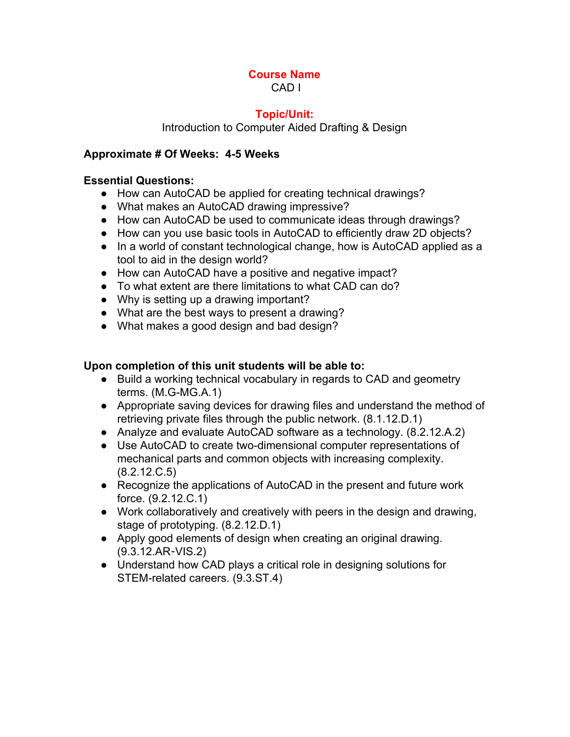### **Topic/Unit:**

Introduction to Computer Aided Drafting & Design

### **Approximate # Of Weeks: 45 Weeks**

#### **Essential Questions:**

- How can AutoCAD be applied for creating technical drawings?
- What makes an AutoCAD drawing impressive?
- How can AutoCAD be used to communicate ideas through drawings?
- How can you use basic tools in AutoCAD to efficiently draw 2D objects?
- In a world of constant technological change, how is AutoCAD applied as a tool to aid in the design world?
- How can AutoCAD have a positive and negative impact?
- To what extent are there limitations to what CAD can do?
- Why is setting up a drawing important?
- What are the best ways to present a drawing?
- What makes a good design and bad design?

#### **Upon completion of this unit students will be able to:**

- Build a working technical vocabulary in regards to CAD and geometry terms.  $(M.G-MG.A.1)$
- Appropriate saving devices for drawing files and understand the method of retrieving private files through the public network. (8.1.12.D.1)
- *●* Analyze and evaluate AutoCAD software as a technology. (8.2.12.A.2)
- Use AutoCAD to create two-dimensional computer representations of mechanical parts and common objects with increasing complexity. (8.2.12.C.5)
- Recognize the applications of AutoCAD in the present and future work force. (9.2.12.C.1)
- Work collaboratively and creatively with peers in the design and drawing, stage of prototyping. (8.2.12.D.1)
- *●* Apply good elements of design when creating an original drawing. (9.3.12.AR‐VIS.2)
- *●* Understand how CAD plays a critical role in designing solutions for STEM-related careers. (9.3.ST.4)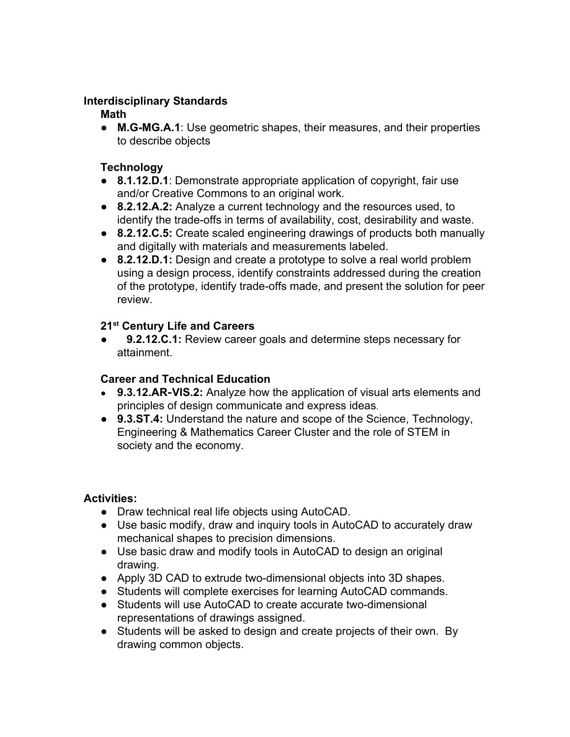### **Interdisciplinary Standards**

### **Math**

• M.G-MG.A.1: Use geometric shapes, their measures, and their properties to describe objects

## **Technology**

- **8.1.12.D.1**: Demonstrate appropriate application of copyright, fair use and/or Creative Commons to an original work.
- **8.2.12.A.2:** Analyze a current technology and the resources used, to identify the trade-offs in terms of availability, cost, desirability and waste.
- **8.2.12.C.5:** Create scaled engineering drawings of products both manually and digitally with materials and measurements labeled.
- **8.2.12.D.1:** Design and create a prototype to solve a real world problem using a design process, identify constraints addressed during the creation of the prototype, identify trade-offs made, and present the solution for peer review.

# **21 st Century Life and Careers**

●  **9.2.12.C.1:** Review career goals and determine steps necessary for attainment.

## **Career and Technical Education**

- **9.3.12.AR**‐**VIS.2:** Analyze how the application of visual arts elements and principles of design communicate and express ideas.
- **9.3.ST.4:** Understand the nature and scope of the Science, Technology, Engineering & Mathematics Career Cluster and the role of STEM in society and the economy.

## **Activities:**

- Draw technical real life objects using AutoCAD.
- Use basic modify, draw and inquiry tools in AutoCAD to accurately draw mechanical shapes to precision dimensions.
- **●** Use basic draw and modify tools in AutoCAD to design an original drawing.
- Apply 3D CAD to extrude two-dimensional objects into 3D shapes.
- Students will complete exercises for learning AutoCAD commands.
- Students will use AutoCAD to create accurate two-dimensional representations of drawings assigned.
- Students will be asked to design and create projects of their own. By drawing common objects.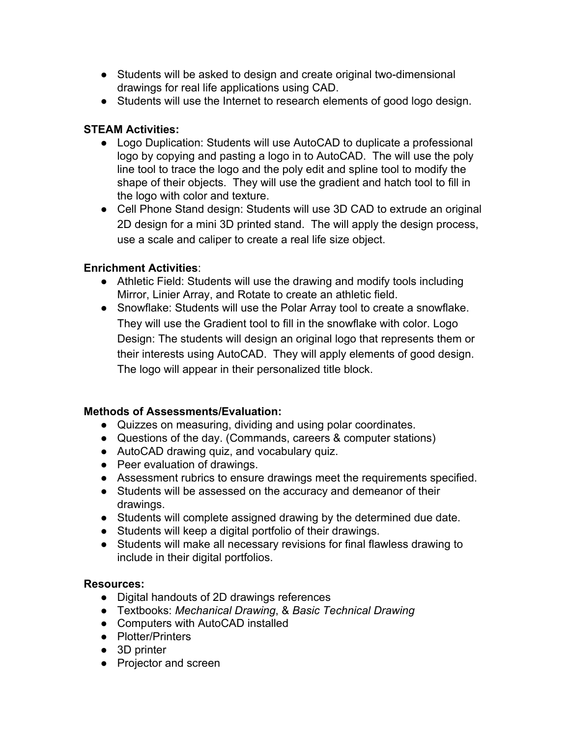- Students will be asked to design and create original two-dimensional drawings for real life applications using CAD.
- Students will use the Internet to research elements of good logo design.

### **STEAM Activities:**

- Logo Duplication: Students will use AutoCAD to duplicate a professional logo by copying and pasting a logo in to AutoCAD. The will use the poly line tool to trace the logo and the poly edit and spline tool to modify the shape of their objects. They will use the gradient and hatch tool to fill in the logo with color and texture.
- Cell Phone Stand design: Students will use 3D CAD to extrude an original 2D design for a mini 3D printed stand. The will apply the design process, use a scale and caliper to create a real life size object.

### **Enrichment Activities**:

- Athletic Field: Students will use the drawing and modify tools including Mirror, Linier Array, and Rotate to create an athletic field.
- Snowflake: Students will use the Polar Array tool to create a snowflake. They will use the Gradient tool to fill in the snowflake with color. Logo Design: The students will design an original logo that represents them or their interests using AutoCAD. They will apply elements of good design. The logo will appear in their personalized title block.

## **Methods of Assessments/Evaluation:**

- Quizzes on measuring, dividing and using polar coordinates.
- Questions of the day. (Commands, careers & computer stations)
- AutoCAD drawing quiz, and vocabulary quiz.
- Peer evaluation of drawings.
- Assessment rubrics to ensure drawings meet the requirements specified.
- **●** Students will be assessed on the accuracy and demeanor of their drawings.
- Students will complete assigned drawing by the determined due date.
- Students will keep a digital portfolio of their drawings.
- Students will make all necessary revisions for final flawless drawing to include in their digital portfolios.

### **Resources:**

- **●** Digital handouts of 2D drawings references
- **●** Textbooks: *Mechanical Drawing*, & *Basic Technical Drawing*
- **●** Computers with AutoCAD installed
- **●** Plotter/Printers
- **●** 3D printer
- **●** Projector and screen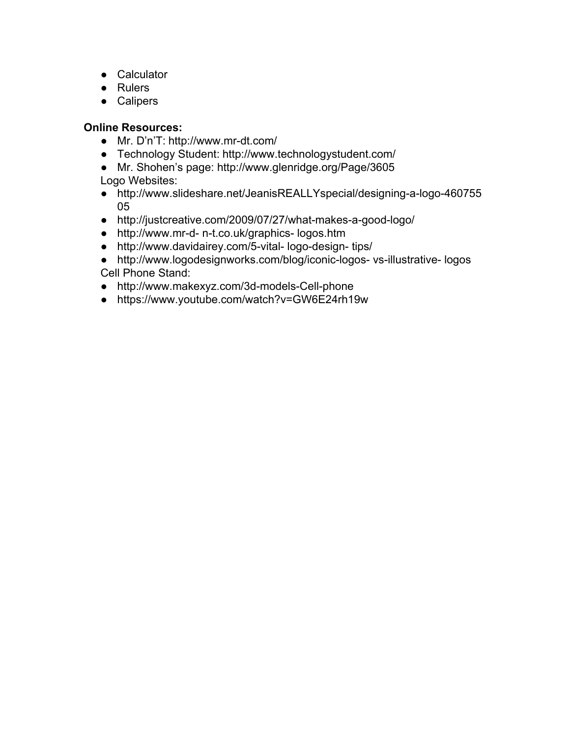- **●** Calculator
- **●** Rulers
- **●** Calipers

- Mr. D'n'T: http://www.mr-dt.com/
- **●** Technology Student: http://www.technologystudent.com/
- Mr. Shohen's page: http://www.glenridge.org/Page/3605 Logo Websites:
- http://www.slideshare.net/JeanisREALLYspecial/designing-a-logo-460755 05
- http://justcreative.com/2009/07/27/what-makes-a-good-logo/
- http://www.mr-d- n-t.co.uk/graphics- logos.htm
- http://www.davidairey.com/5-vital-logo-design-tips/
- http://www.logodesignworks.com/blog/iconic-logos- vs-illustrative- logos Cell Phone Stand:
- http://www.makexyz.com/3d-models-Cell-phone
- https://www.youtube.com/watch?v=GW6E24rh19w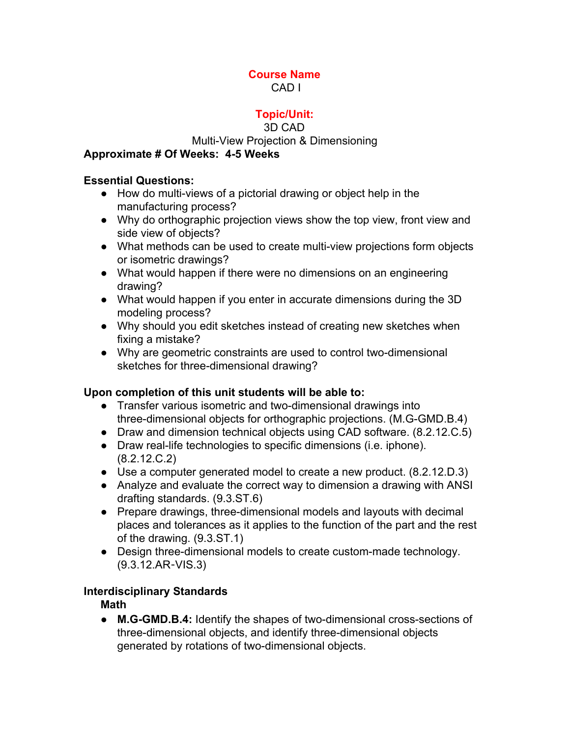## **Topic/Unit:**

### 3D CAD

### Multi-View Projection & Dimensioning

### **Approximate # Of Weeks: 45 Weeks**

### **Essential Questions:**

- How do multi-views of a pictorial drawing or object help in the manufacturing process?
- Why do orthographic projection views show the top view, front view and side view of objects?
- What methods can be used to create multi-view projections form objects or isometric drawings?
- What would happen if there were no dimensions on an engineering drawing?
- What would happen if you enter in accurate dimensions during the 3D modeling process?
- Why should you edit sketches instead of creating new sketches when fixing a mistake?
- Why are geometric constraints are used to control two-dimensional sketches for three-dimensional drawing?

### **Upon completion of this unit students will be able to:**

- Transfer various isometric and two-dimensional drawings into three-dimensional objects for orthographic projections. (M.G-GMD.B.4)
- Draw and dimension technical objects using CAD software. (8.2.12.C.5)
- Draw real-life technologies to specific dimensions (i.e. iphone). (8.2.12.C.2)
- $\bullet$  Use a computer generated model to create a new product.  $(8.2.12.D.3)$
- Analyze and evaluate the correct way to dimension a drawing with ANSI drafting standards. (9.3.ST.6)
- Prepare drawings, three-dimensional models and layouts with decimal places and tolerances as it applies to the function of the part and the rest of the drawing. (9.3.ST.1)
- Design three-dimensional models to create custom-made technology. (9.3.12.AR‐VIS.3)

### **Interdisciplinary Standards**

### **Math**

• M.G-GMD.B.4: Identify the shapes of two-dimensional cross-sections of three-dimensional objects, and identify three-dimensional objects generated by rotations of two-dimensional objects.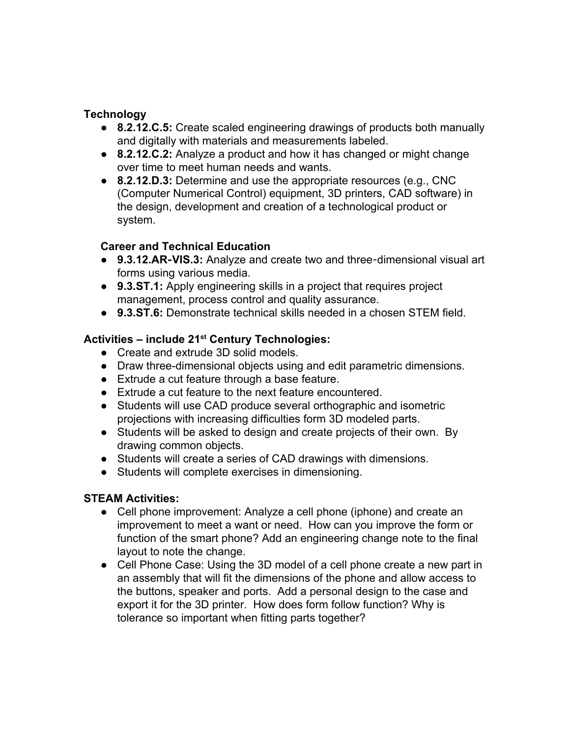### **Technology**

- **8.2.12.C.5:** Create scaled engineering drawings of products both manually and digitally with materials and measurements labeled.
- **8.2.12.C.2:** Analyze a product and how it has changed or might change over time to meet human needs and wants.
- **8.2.12.D.3:** Determine and use the appropriate resources (e.g., CNC (Computer Numerical Control) equipment, 3D printers, CAD software) in the design, development and creation of a technological product or system.

### **Career and Technical Education**

- 9.3.12.AR-VIS.3: Analyze and create two and three-dimensional visual art forms using various media.
- **9.3.ST.1:** Apply engineering skills in a project that requires project management, process control and quality assurance.
- **9.3.ST.6:** Demonstrate technical skills needed in a chosen STEM field.

# **Activities – include 21 st Century Technologies:**

- Create and extrude 3D solid models.
- Draw three-dimensional objects using and edit parametric dimensions.
- Extrude a cut feature through a base feature.
- Extrude a cut feature to the next feature encountered.
- Students will use CAD produce several orthographic and isometric projections with increasing difficulties form 3D modeled parts.
- **●** Students will be asked to design and create projects of their own. By drawing common objects.
- Students will create a series of CAD drawings with dimensions.
- Students will complete exercises in dimensioning.

### **STEAM Activities:**

- Cell phone improvement: Analyze a cell phone (iphone) and create an improvement to meet a want or need. How can you improve the form or function of the smart phone? Add an engineering change note to the final layout to note the change.
- Cell Phone Case: Using the 3D model of a cell phone create a new part in an assembly that will fit the dimensions of the phone and allow access to the buttons, speaker and ports. Add a personal design to the case and export it for the 3D printer. How does form follow function? Why is tolerance so important when fitting parts together?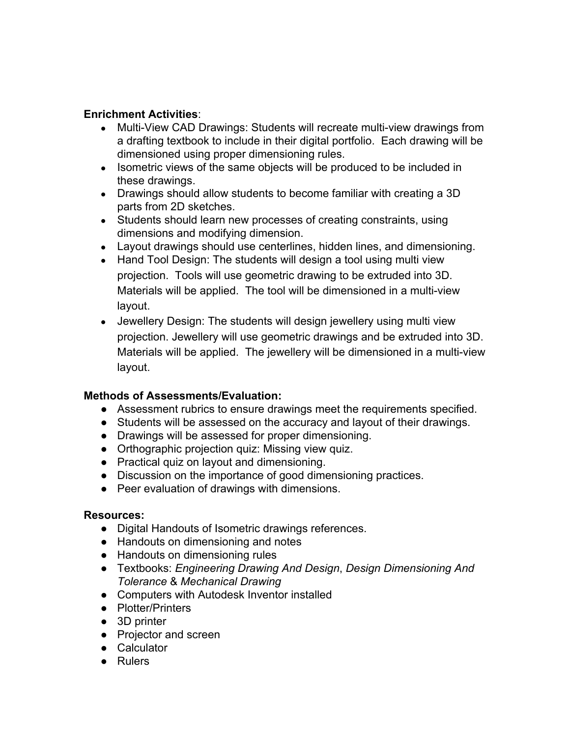### **Enrichment Activities**:

- Multi-View CAD Drawings: Students will recreate multi-view drawings from a drafting textbook to include in their digital portfolio. Each drawing will be dimensioned using proper dimensioning rules.
- Isometric views of the same objects will be produced to be included in these drawings.
- Drawings should allow students to become familiar with creating a 3D parts from 2D sketches.
- Students should learn new processes of creating constraints, using dimensions and modifying dimension.
- Layout drawings should use centerlines, hidden lines, and dimensioning.
- Hand Tool Design: The students will design a tool using multi view projection. Tools will use geometric drawing to be extruded into 3D. Materials will be applied. The tool will be dimensioned in a multi-view layout.
- Jewellery Design: The students will design jewellery using multi view projection. Jewellery will use geometric drawings and be extruded into 3D. Materials will be applied. The jewellery will be dimensioned in a multi-view layout.

### **Methods of Assessments/Evaluation:**

- Assessment rubrics to ensure drawings meet the requirements specified.
- **●** Students will be assessed on the accuracy and layout of their drawings.
- **●** Drawings will be assessed for proper dimensioning.
- **●** Orthographic projection quiz: Missing view quiz.
- Practical quiz on layout and dimensioning.
- Discussion on the importance of good dimensioning practices.
- Peer evaluation of drawings with dimensions.

#### **Resources:**

- **●** Digital Handouts of Isometric drawings references.
- Handouts on dimensioning and notes
- Handouts on dimensioning rules
- *●* Textbooks: *Engineering Drawing And Design*, *Design Dimensioning And Tolerance* & *Mechanical Drawing*
- **●** Computers with Autodesk Inventor installed
- **●** Plotter/Printers
- **●** 3D printer
- **●** Projector and screen
- **●** Calculator
- **●** Rulers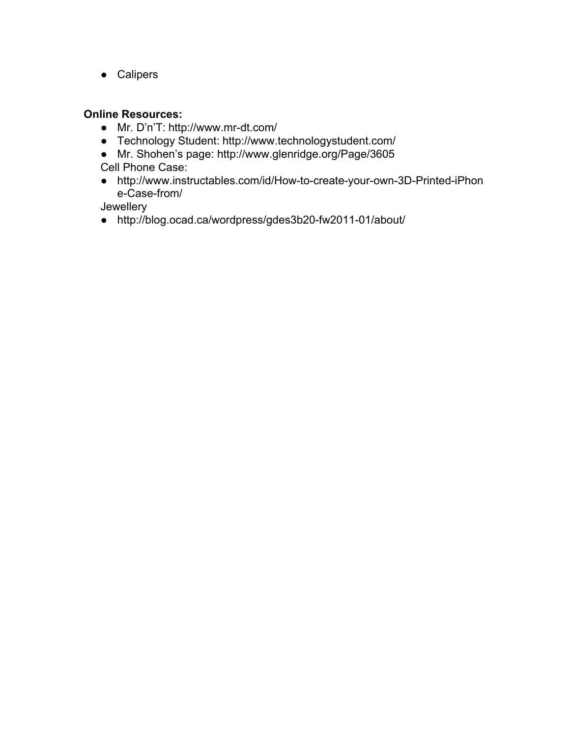**●** Calipers

#### **Online Resources:**

- **•** Mr. D'n'T: http://www.mr-dt.com/
- **●** Technology Student: http://www.technologystudent.com/
- Mr. Shohen's page: http://www.glenridge.org/Page/3605
- Cell Phone Case:
- http://www.instructables.com/id/How-to-create-your-own-3D-Printed-iPhon e-Case-from/

Jewellery

• http://blog.ocad.ca/wordpress/gdes3b20-fw2011-01/about/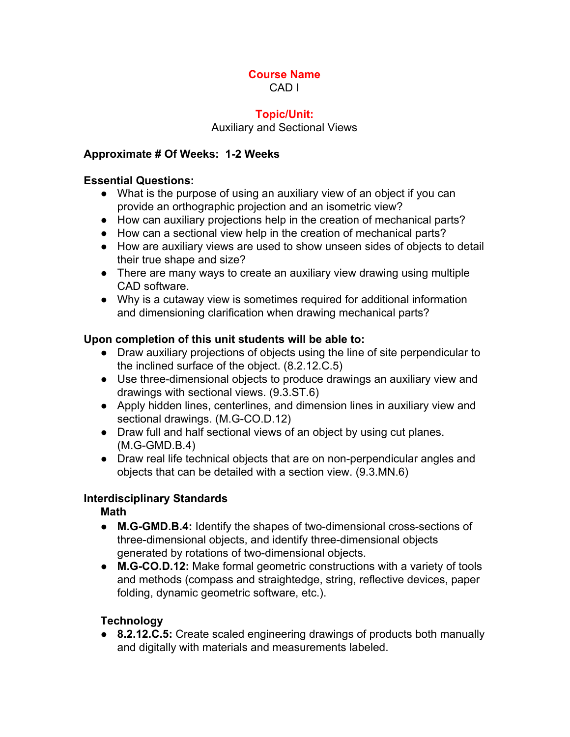#### **Topic/Unit:**

#### Auxiliary and Sectional Views

### **Approximate # Of Weeks: 12 Weeks**

#### **Essential Questions:**

- What is the purpose of using an auxiliary view of an object if you can provide an orthographic projection and an isometric view?
- How can auxiliary projections help in the creation of mechanical parts?
- *●* How can a sectional view help in the creation of mechanical parts?
- How are auxiliary views are used to show unseen sides of objects to detail their true shape and size?
- There are many ways to create an auxiliary view drawing using multiple CAD software.
- **●** Why is a cutaway view is sometimes required for additional information and dimensioning clarification when drawing mechanical parts?

### **Upon completion of this unit students will be able to:**

- Draw auxiliary projections of objects using the line of site perpendicular to the inclined surface of the object. (8.2.12.C.5)
- Use three-dimensional objects to produce drawings an auxiliary view and drawings with sectional views. (9.3.ST.6)
- Apply hidden lines, centerlines, and dimension lines in auxiliary view and sectional drawings. (M.G-CO.D.12)
- Draw full and half sectional views of an object by using cut planes.  $(M.G-GMD.B.4)$
- Draw real life technical objects that are on non-perpendicular angles and objects that can be detailed with a section view. (9.3.MN.6)

### **Interdisciplinary Standards**

**Math**

- M.G-GMD.B.4: Identify the shapes of two-dimensional cross-sections of three-dimensional objects, and identify three-dimensional objects generated by rotations of two-dimensional objects.
- **M.G-CO.D.12:** Make formal geometric constructions with a variety of tools and methods (compass and straightedge, string, reflective devices, paper folding, dynamic geometric software, etc.).

### **Technology**

● **8.2.12.C.5:** Create scaled engineering drawings of products both manually and digitally with materials and measurements labeled.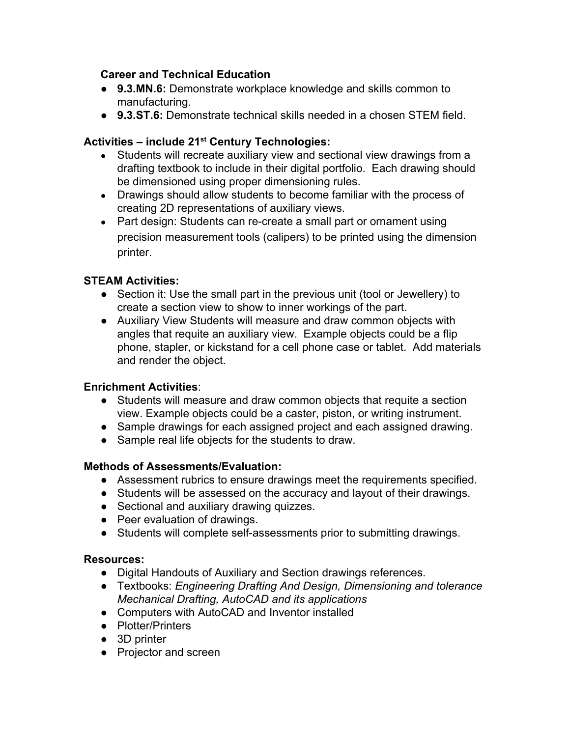### **Career and Technical Education**

- **9.3.MN.6:** Demonstrate workplace knowledge and skills common to manufacturing.
- **9.3.ST.6:** Demonstrate technical skills needed in a chosen STEM field.

# **Activities – include 21 st Century Technologies:**

- Students will recreate auxiliary view and sectional view drawings from a drafting textbook to include in their digital portfolio. Each drawing should be dimensioned using proper dimensioning rules.
- Drawings should allow students to become familiar with the process of creating 2D representations of auxiliary views.
- Part design: Students can re-create a small part or ornament using precision measurement tools (calipers) to be printed using the dimension printer.

### **STEAM Activities:**

- Section it: Use the small part in the previous unit (tool or Jewellery) to create a section view to show to inner workings of the part.
- Auxiliary View Students will measure and draw common objects with angles that requite an auxiliary view. Example objects could be a flip phone, stapler, or kickstand for a cell phone case or tablet. Add materials and render the object.

### **Enrichment Activities**:

- Students will measure and draw common objects that requite a section view. Example objects could be a caster, piston, or writing instrument.
- Sample drawings for each assigned project and each assigned drawing.
- Sample real life objects for the students to draw.

### **Methods of Assessments/Evaluation:**

- Assessment rubrics to ensure drawings meet the requirements specified.
- **●** Students will be assessed on the accuracy and layout of their drawings.
- Sectional and auxiliary drawing quizzes.
- Peer evaluation of drawings.
- Students will complete self-assessments prior to submitting drawings.

### **Resources:**

- **●** Digital Handouts of Auxiliary and Section drawings references.
- **●** Textbooks: *Engineering Drafting And Design, Dimensioning and tolerance Mechanical Drafting, AutoCAD and its applications*
- **●** Computers with AutoCAD and Inventor installed
- **●** Plotter/Printers
- **●** 3D printer
- **●** Projector and screen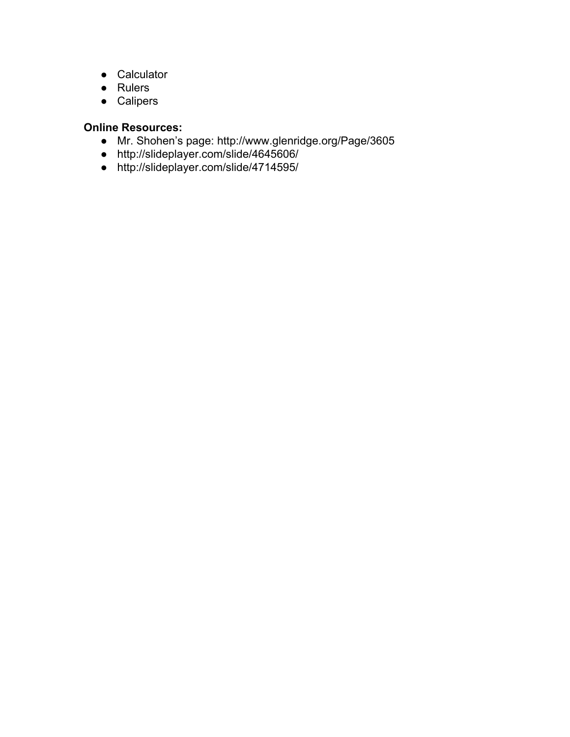- **●** Calculator
- **●** Rulers
- **●** Calipers

- Mr. Shohen's page: http://www.glenridge.org/Page/3605
- http://slideplayer.com/slide/4645606/
- **●** http://slideplayer.com/slide/4714595/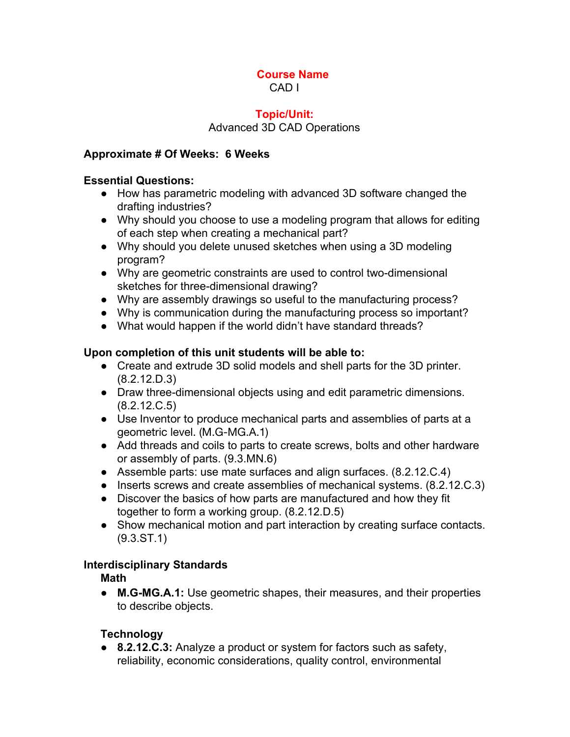### **Topic/Unit:** Advanced 3D CAD Operations

### **Approximate # Of Weeks: 6 Weeks**

### **Essential Questions:**

- How has parametric modeling with advanced 3D software changed the drafting industries?
- Why should you choose to use a modeling program that allows for editing of each step when creating a mechanical part?
- Why should you delete unused sketches when using a 3D modeling program?
- Why are geometric constraints are used to control two-dimensional sketches for three-dimensional drawing?
- Why are assembly drawings so useful to the manufacturing process?
- Why is communication during the manufacturing process so important?
- What would happen if the world didn't have standard threads?

### **Upon completion of this unit students will be able to:**

- Create and extrude 3D solid models and shell parts for the 3D printer. (8.2.12.D.3)
- Draw three-dimensional objects using and edit parametric dimensions. (8.2.12.C.5)
- Use Inventor to produce mechanical parts and assemblies of parts at a geometric level. (M.G-MG.A.1)
- Add threads and coils to parts to create screws, bolts and other hardware or assembly of parts. (9.3.MN.6)
- Assemble parts: use mate surfaces and align surfaces. (8.2.12.C.4)
- Inserts screws and create assemblies of mechanical systems. (8.2.12.C.3)
- Discover the basics of how parts are manufactured and how they fit together to form a working group. (8.2.12.D.5)
- Show mechanical motion and part interaction by creating surface contacts. (9.3.ST.1)

### **Interdisciplinary Standards**

**Math**

• M.G-MG.A.1: Use geometric shapes, their measures, and their properties to describe objects.

### **Technology**

● **8.2.12.C.3:** Analyze a product or system for factors such as safety, reliability, economic considerations, quality control, environmental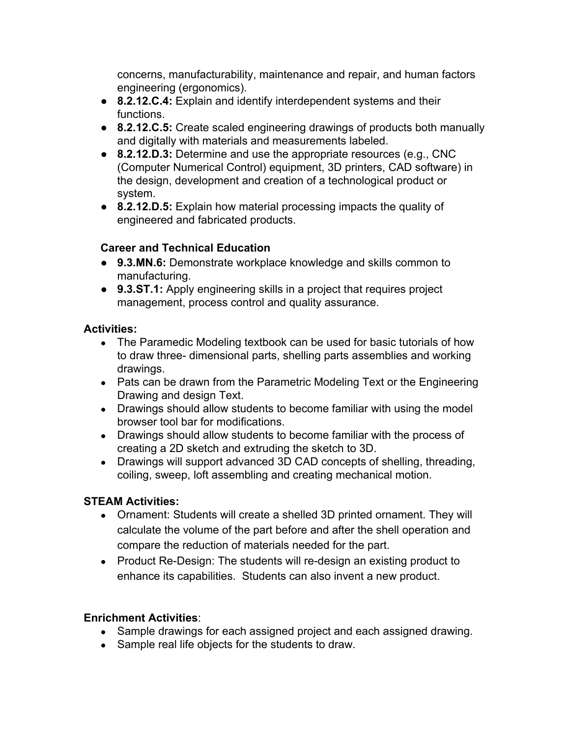concerns, manufacturability, maintenance and repair, and human factors engineering (ergonomics).

- **8.2.12.C.4:** Explain and identify interdependent systems and their functions.
- **8.2.12.C.5:** Create scaled engineering drawings of products both manually and digitally with materials and measurements labeled.
- **8.2.12.D.3:** Determine and use the appropriate resources (e.g., CNC (Computer Numerical Control) equipment, 3D printers, CAD software) in the design, development and creation of a technological product or system.
- **8.2.12.D.5:** Explain how material processing impacts the quality of engineered and fabricated products.

## **Career and Technical Education**

- **9.3.MN.6:** Demonstrate workplace knowledge and skills common to manufacturing.
- **9.3.ST.1:** Apply engineering skills in a project that requires project management, process control and quality assurance.

### **Activities:**

- The Paramedic Modeling textbook can be used for basic tutorials of how to draw three dimensional parts, shelling parts assemblies and working drawings.
- Pats can be drawn from the Parametric Modeling Text or the Engineering Drawing and design Text.
- Drawings should allow students to become familiar with using the model browser tool bar for modifications.
- Drawings should allow students to become familiar with the process of creating a 2D sketch and extruding the sketch to 3D.
- Drawings will support advanced 3D CAD concepts of shelling, threading, coiling, sweep, loft assembling and creating mechanical motion.

## **STEAM Activities:**

- Ornament: Students will create a shelled 3D printed ornament. They will calculate the volume of the part before and after the shell operation and compare the reduction of materials needed for the part.
- Product Re-Design: The students will re-design an existing product to enhance its capabilities. Students can also invent a new product.

## **Enrichment Activities**:

- Sample drawings for each assigned project and each assigned drawing.
- Sample real life objects for the students to draw.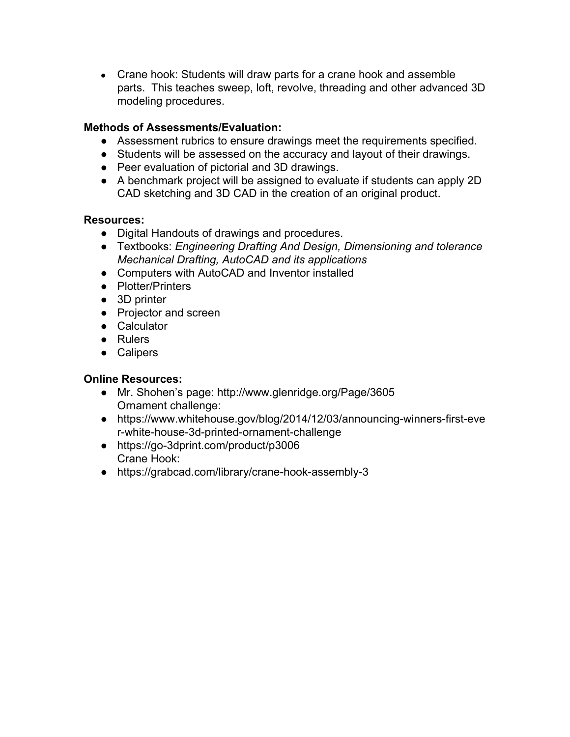• Crane hook: Students will draw parts for a crane hook and assemble parts. This teaches sweep, loft, revolve, threading and other advanced 3D modeling procedures.

### **Methods of Assessments/Evaluation:**

- Assessment rubrics to ensure drawings meet the requirements specified.
- **●** Students will be assessed on the accuracy and layout of their drawings.
- Peer evaluation of pictorial and 3D drawings.
- A benchmark project will be assigned to evaluate if students can apply 2D CAD sketching and 3D CAD in the creation of an original product.

### **Resources:**

- **●** Digital Handouts of drawings and procedures.
- **●** Textbooks: *Engineering Drafting And Design, Dimensioning and tolerance Mechanical Drafting, AutoCAD and its applications*
- **●** Computers with AutoCAD and Inventor installed
- **●** Plotter/Printers
- **●** 3D printer
- **●** Projector and screen
- **●** Calculator
- **●** Rulers
- **●** Calipers

- Mr. Shohen's page: http://www.glenridge.org/Page/3605 Ornament challenge:
- https://www.whitehouse.gov/blog/2014/12/03/announcing-winners-first-eve r-white-house-3d-printed-ornament-challenge
- https://go-3dprint.com/product/p3006 Crane Hook:
- $\bullet$  https://grabcad.com/library/crane-hook-assembly-3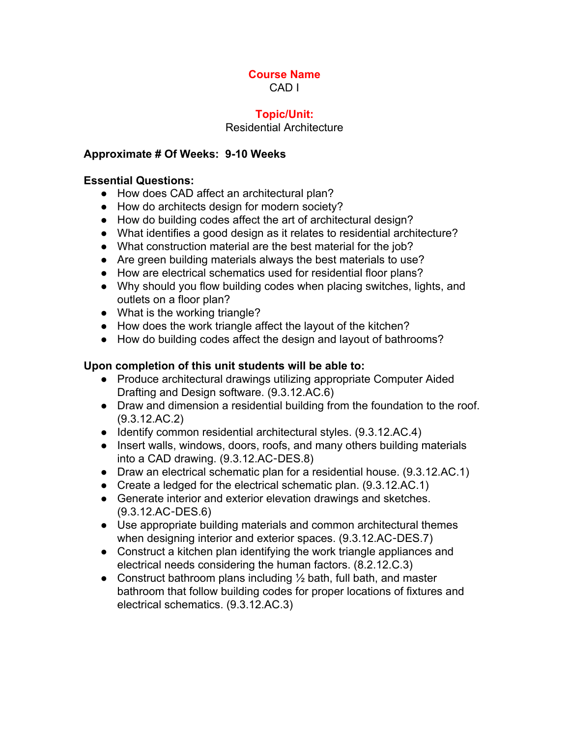### **Topic/Unit:**

### Residential Architecture

### **Approximate # Of Weeks: 910 Weeks**

#### **Essential Questions:**

- How does CAD affect an architectural plan?
- How do architects design for modern society?
- How do building codes affect the art of architectural design?
- What identifies a good design as it relates to residential architecture?
- What construction material are the best material for the job?
- Are green building materials always the best materials to use?
- How are electrical schematics used for residential floor plans?
- Why should you flow building codes when placing switches, lights, and outlets on a floor plan?
- What is the working triangle?
- How does the work triangle affect the layout of the kitchen?
- How do building codes affect the design and layout of bathrooms?

### **Upon completion of this unit students will be able to:**

- Produce architectural drawings utilizing appropriate Computer Aided Drafting and Design software. (9.3.12.AC.6)
- Draw and dimension a residential building from the foundation to the roof. (9.3.12.AC.2)
- Identify common residential architectural styles. (9.3.12.AC.4)
- Insert walls, windows, doors, roofs, and many others building materials into a CAD drawing. (9.3.12.AC‐DES.8)
- Draw an electrical schematic plan for a residential house. (9.3.12.AC.1)
- Create a ledged for the electrical schematic plan. (9.3.12.AC.1)
- Generate interior and exterior elevation drawings and sketches. (9.3.12.AC‐DES.6)
- Use appropriate building materials and common architectural themes when designing interior and exterior spaces. (9.3.12.AC-DES.7)
- Construct a kitchen plan identifying the work triangle appliances and electrical needs considering the human factors. (8.2.12.C.3)
- Construct bathroom plans including  $\frac{1}{2}$  bath, full bath, and master bathroom that follow building codes for proper locations of fixtures and electrical schematics. (9.3.12.AC.3)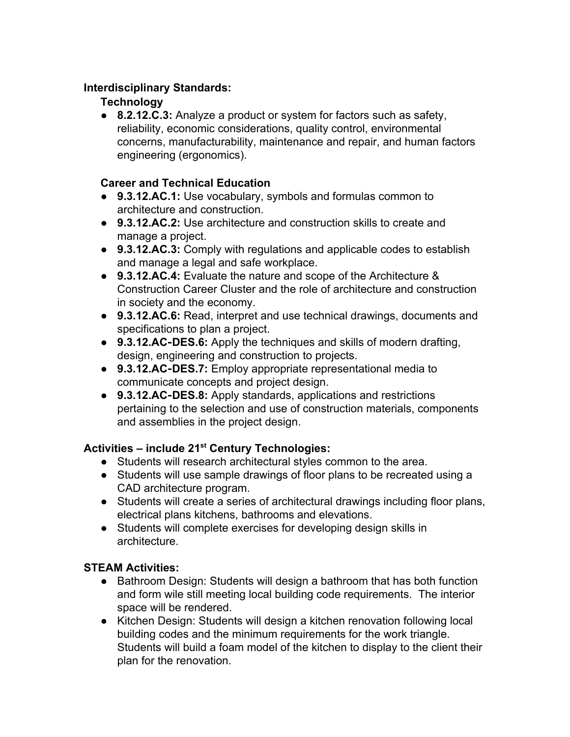### **Interdisciplinary Standards:**

## **Technology**

● **8.2.12.C.3:** Analyze a product or system for factors such as safety, reliability, economic considerations, quality control, environmental concerns, manufacturability, maintenance and repair, and human factors engineering (ergonomics).

## **Career and Technical Education**

- **9.3.12.AC.1:** Use vocabulary, symbols and formulas common to architecture and construction.
- **9.3.12.AC.2:** Use architecture and construction skills to create and manage a project.
- **9.3.12.AC.3:** Comply with regulations and applicable codes to establish and manage a legal and safe workplace.
- **9.3.12.AC.4:** Evaluate the nature and scope of the Architecture & Construction Career Cluster and the role of architecture and construction in society and the economy.
- **9.3.12.AC.6:** Read, interpret and use technical drawings, documents and specifications to plan a project.
- **9.3.12.AC**‐**DES.6:** Apply the techniques and skills of modern drafting, design, engineering and construction to projects.
- **9.3.12.AC**‐**DES.7:** Employ appropriate representational media to communicate concepts and project design.
- **9.3.12.AC**‐**DES.8:** Apply standards, applications and restrictions pertaining to the selection and use of construction materials, components and assemblies in the project design.

# **Activities – include 21 st Century Technologies:**

- Students will research architectural styles common to the area.
- Students will use sample drawings of floor plans to be recreated using a CAD architecture program.
- Students will create a series of architectural drawings including floor plans, electrical plans kitchens, bathrooms and elevations.
- Students will complete exercises for developing design skills in architecture.

## **STEAM Activities:**

- Bathroom Design: Students will design a bathroom that has both function and form wile still meeting local building code requirements. The interior space will be rendered.
- Kitchen Design: Students will design a kitchen renovation following local building codes and the minimum requirements for the work triangle. Students will build a foam model of the kitchen to display to the client their plan for the renovation.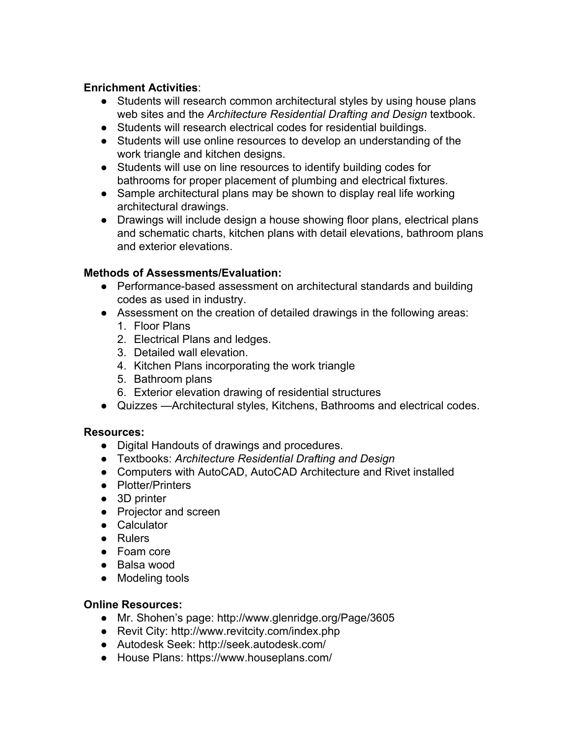### **Enrichment Activities**:

- Students will research common architectural styles by using house plans web sites and the *Architecture Residential Drafting and Design* textbook.
- Students will research electrical codes for residential buildings.
- Students will use online resources to develop an understanding of the work triangle and kitchen designs.
- Students will use on line resources to identify building codes for bathrooms for proper placement of plumbing and electrical fixtures.
- **●** Sample architectural plans may be shown to display real life working architectural drawings.
- **●** Drawings will include design a house showing floor plans, electrical plans and schematic charts, kitchen plans with detail elevations, bathroom plans and exterior elevations.

### **Methods of Assessments/Evaluation:**

- Performance-based assessment on architectural standards and building codes as used in industry.
- Assessment on the creation of detailed drawings in the following areas:
	- 1. Floor Plans
	- 2. Electrical Plans and ledges.
	- 3. Detailed wall elevation.
	- 4. Kitchen Plans incorporating the work triangle
	- 5. Bathroom plans
	- 6. Exterior elevation drawing of residential structures
- Quizzes —Architectural styles, Kitchens, Bathrooms and electrical codes.

### **Resources:**

- **●** Digital Handouts of drawings and procedures.
- **●** Textbooks: *Architecture Residential Drafting and Design*
- **●** Computers with AutoCAD, AutoCAD Architecture and Rivet installed
- **●** Plotter/Printers
- **●** 3D printer
- **●** Projector and screen
- **●** Calculator
- **●** Rulers
- **●** Foam core
- **●** Balsa wood
- **●** Modeling tools

- Mr. Shohen's page: http://www.glenridge.org/Page/3605
- Revit City: http://www.revitcity.com/index.php
- Autodesk Seek: http://seek.autodesk.com/
- **●** House Plans: https://www.houseplans.com/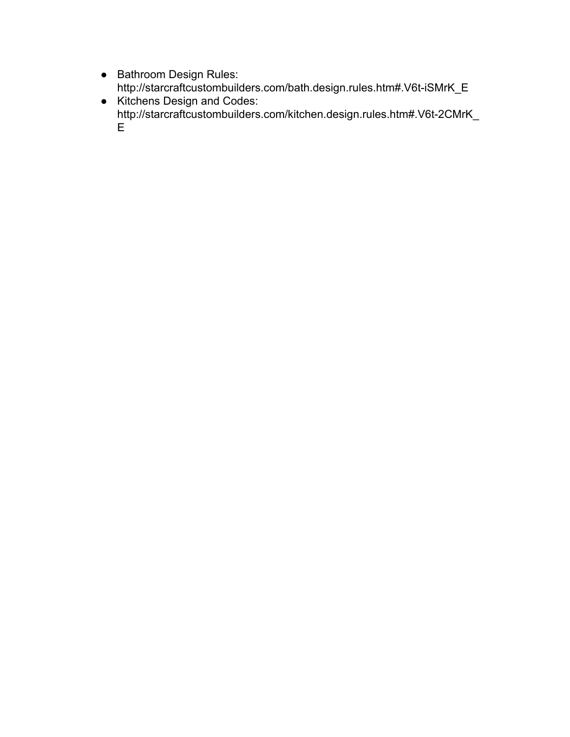- **●** Bathroom Design Rules: http://starcraftcustombuilders.com/bath.design.rules.htm#.V6t-iSMrK\_E
- **●** Kitchens Design and Codes: http://starcraftcustombuilders.com/kitchen.design.rules.htm#.V6t-2CMrK\_ E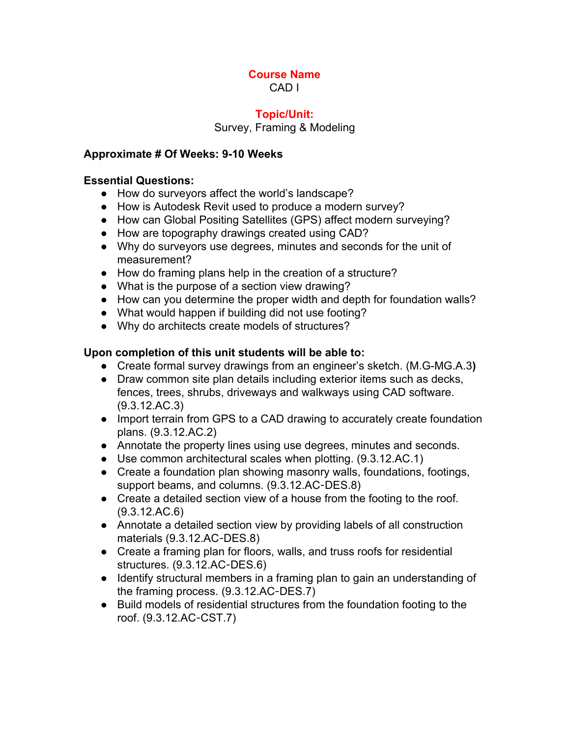# **Course Name**

CAD I

### **Topic/Unit:**

Survey, Framing & Modeling

### **Approximate # Of Weeks: 910 Weeks**

### **Essential Questions:**

- How do surveyors affect the world's landscape?
- How is Autodesk Revit used to produce a modern survey?
- How can Global Positing Satellites (GPS) affect modern surveying?
- How are topography drawings created using CAD?
- Why do surveyors use degrees, minutes and seconds for the unit of measurement?
- How do framing plans help in the creation of a structure?
- What is the purpose of a section view drawing?
- How can you determine the proper width and depth for foundation walls?
- What would happen if building did not use footing?
- Why do architects create models of structures?

### **Upon completion of this unit students will be able to:**

- Create formal survey drawings from an engineer's sketch. (M.G-MG.A.3)
- Draw common site plan details including exterior items such as decks, fences, trees, shrubs, driveways and walkways using CAD software. (9.3.12.AC.3)
- Import terrain from GPS to a CAD drawing to accurately create foundation plans. (9.3.12.AC.2)
- Annotate the property lines using use degrees, minutes and seconds.
- Use common architectural scales when plotting. (9.3.12.AC.1)
- Create a foundation plan showing masonry walls, foundations, footings, support beams, and columns. (9.3.12.AC‐DES.8)
- Create a detailed section view of a house from the footing to the roof. (9.3.12.AC.6)
- Annotate a detailed section view by providing labels of all construction materials (9.3.12.AC‐DES.8)
- Create a framing plan for floors, walls, and truss roofs for residential structures. (9.3.12.AC‐DES.6)
- Identify structural members in a framing plan to gain an understanding of the framing process. (9.3.12.AC‐DES.7)
- Build models of residential structures from the foundation footing to the roof. (9.3.12.AC‐CST.7)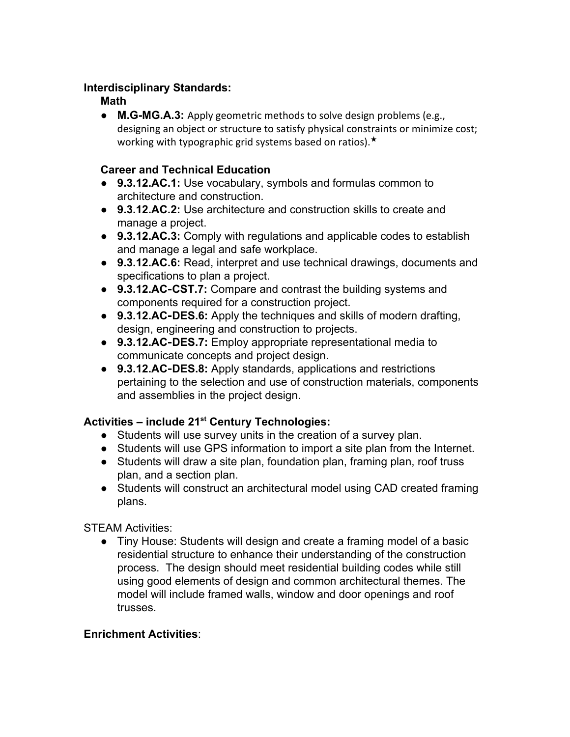### **Interdisciplinary Standards:**

### **Math**

**• M.G-MG.A.3:** Apply geometric methods to solve design problems (e.g., designing an object or structure to satisfy physical constraints or minimize cost; working with typographic grid systems based on ratios).★

### **Career and Technical Education**

- **9.3.12.AC.1:** Use vocabulary, symbols and formulas common to architecture and construction.
- **9.3.12.AC.2:** Use architecture and construction skills to create and manage a project.
- **9.3.12.AC.3:** Comply with regulations and applicable codes to establish and manage a legal and safe workplace.
- **9.3.12.AC.6:** Read, interpret and use technical drawings, documents and specifications to plan a project.
- 9.3.12.AC-CST.7: Compare and contrast the building systems and components required for a construction project.
- 9.3.12.AC-DES.6: Apply the techniques and skills of modern drafting, design, engineering and construction to projects.
- 9.3.12.AC-DES.7: Employ appropriate representational media to communicate concepts and project design.
- **9.3.12.AC**‐**DES.8:** Apply standards, applications and restrictions pertaining to the selection and use of construction materials, components and assemblies in the project design.

# **Activities – include 21 st Century Technologies:**

- Students will use survey units in the creation of a survey plan.
- Students will use GPS information to import a site plan from the Internet.
- Students will draw a site plan, foundation plan, framing plan, roof truss plan, and a section plan.
- Students will construct an architectural model using CAD created framing plans.

STEAM Activities:

● Tiny House: Students will design and create a framing model of a basic residential structure to enhance their understanding of the construction process. The design should meet residential building codes while still using good elements of design and common architectural themes. The model will include framed walls, window and door openings and roof trusses.

### **Enrichment Activities**: